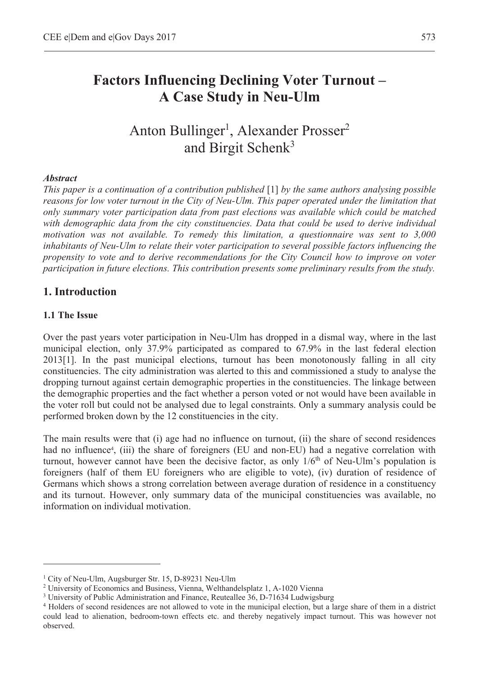# **Factors Influencing Declining Voter Turnout – A Case Study in Neu-Ulm**

Anton Bullinger<sup>1</sup>, Alexander Prosser<sup>2</sup> and Birgit Schenk<sup>3</sup>

#### *Abstract*

*This paper is a continuation of a contribution published* [1] *by the same authors analysing possible reasons for low voter turnout in the City of Neu-Ulm. This paper operated under the limitation that only summary voter participation data from past elections was available which could be matched with demographic data from the city constituencies. Data that could be used to derive individual motivation was not available. To remedy this limitation, a questionnaire was sent to 3,000 inhabitants of Neu-Ulm to relate their voter participation to several possible factors influencing the propensity to vote and to derive recommendations for the City Council how to improve on voter participation in future elections. This contribution presents some preliminary results from the study.* 

### **1. Introduction**

#### **1.1 The Issue**

 $\overline{a}$ 

Over the past years voter participation in Neu-Ulm has dropped in a dismal way, where in the last municipal election, only 37.9% participated as compared to 67.9% in the last federal election 2013[1]. In the past municipal elections, turnout has been monotonously falling in all city constituencies. The city administration was alerted to this and commissioned a study to analyse the dropping turnout against certain demographic properties in the constituencies. The linkage between the demographic properties and the fact whether a person voted or not would have been available in the voter roll but could not be analysed due to legal constraints. Only a summary analysis could be performed broken down by the 12 constituencies in the city.

The main results were that (i) age had no influence on turnout, (ii) the share of second residences had no influence<sup>4</sup>, (iii) the share of foreigners (EU and non-EU) had a negative correlation with turnout, however cannot have been the decisive factor, as only 1/6<sup>th</sup> of Neu-Ulm's population is foreigners (half of them EU foreigners who are eligible to vote), (iv) duration of residence of Germans which shows a strong correlation between average duration of residence in a constituency and its turnout. However, only summary data of the municipal constituencies was available, no information on individual motivation.

<sup>1</sup> City of Neu-Ulm, Augsburger Str. 15, D-89231 Neu-Ulm

<sup>&</sup>lt;sup>2</sup> University of Economics and Business, Vienna, Welthandelsplatz 1, A-1020 Vienna  $\frac{3}{3}$  University of Public Administration and Einance. Reuteallee 36, D-71634 Ludwigsh

<sup>&</sup>lt;sup>3</sup> University of Public Administration and Finance, Reuteallee 36, D-71634 Ludwigsburg

<sup>&</sup>lt;sup>4</sup> Holders of second residences are not allowed to vote in the municipal election, but a large share of them in a district could lead to alienation, bedroom-town effects etc. and thereby negatively impact turnout. This was however not observed.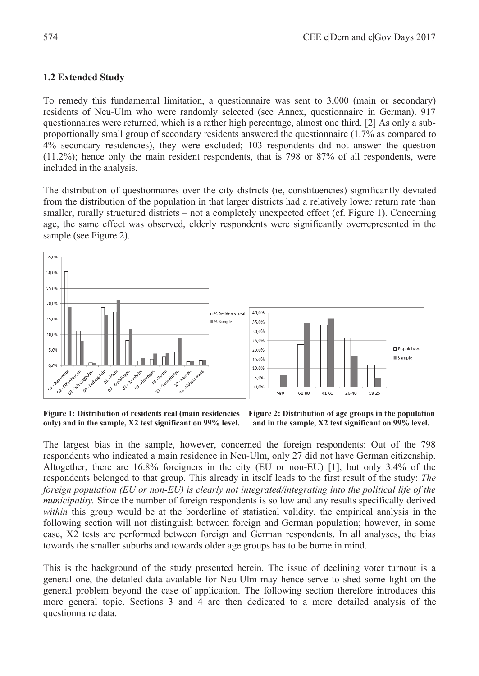## **1.2 Extended Study**

To remedy this fundamental limitation, a questionnaire was sent to 3,000 (main or secondary) residents of Neu-Ulm who were randomly selected (see Annex, questionnaire in German). 917 questionnaires were returned, which is a rather high percentage, almost one third. [2] As only a subproportionally small group of secondary residents answered the questionnaire (1.7% as compared to 4% secondary residencies), they were excluded; 103 respondents did not answer the question (11.2%); hence only the main resident respondents, that is 798 or 87% of all respondents, were included in the analysis.

The distribution of questionnaires over the city districts (ie, constituencies) significantly deviated from the distribution of the population in that larger districts had a relatively lower return rate than smaller, rurally structured districts – not a completely unexpected effect (cf. Figure 1). Concerning age, the same effect was observed, elderly respondents were significantly overrepresented in the sample (see Figure 2).



**Figure 1: Distribution of residents real (main residencies Figure 2: Distribution of age groups in the population only) and in the sample, X2 test significant on 99% level. and in the sample, X2 test significant on 99% level.** 

The largest bias in the sample, however, concerned the foreign respondents: Out of the 798 respondents who indicated a main residence in Neu-Ulm, only 27 did not have German citizenship. Altogether, there are 16.8% foreigners in the city (EU or non-EU) [1], but only 3.4% of the respondents belonged to that group. This already in itself leads to the first result of the study: *The foreign population (EU or non-EU) is clearly not integrated/integrating into the political life of the municipality.* Since the number of foreign respondents is so low and any results specifically derived *within* this group would be at the borderline of statistical validity, the empirical analysis in the following section will not distinguish between foreign and German population; however, in some case, X2 tests are performed between foreign and German respondents. In all analyses, the bias towards the smaller suburbs and towards older age groups has to be borne in mind.

This is the background of the study presented herein. The issue of declining voter turnout is a general one, the detailed data available for Neu-Ulm may hence serve to shed some light on the general problem beyond the case of application. The following section therefore introduces this more general topic. Sections 3 and 4 are then dedicated to a more detailed analysis of the questionnaire data.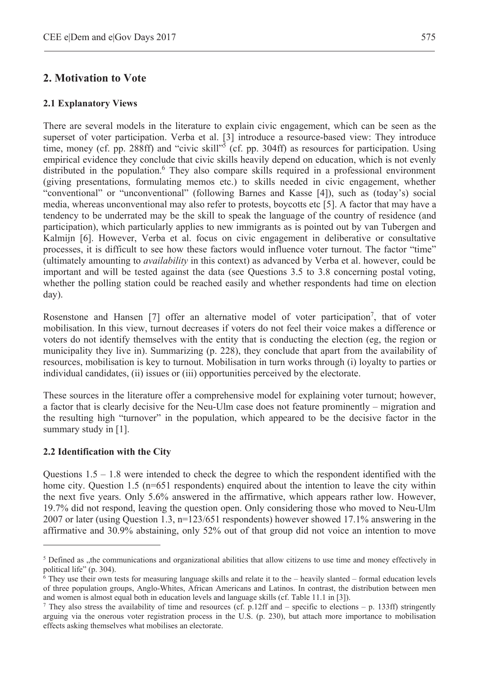### **2. Motivation to Vote**

#### **2.1 Explanatory Views**

There are several models in the literature to explain civic engagement, which can be seen as the superset of voter participation. Verba et al. [3] introduce a resource-based view: They introduce time, money (cf. pp. 288ff) and "civic skill"<sup>5</sup> (cf. pp. 304ff) as resources for participation. Using empirical evidence they conclude that civic skills heavily depend on education, which is not evenly distributed in the population.<sup>6</sup> They also compare skills required in a professional environment (giving presentations, formulating memos etc.) to skills needed in civic engagement, whether "conventional" or "unconventional" (following Barnes and Kasse [4]), such as (today's) social media, whereas unconventional may also refer to protests, boycotts etc [5]. A factor that may have a tendency to be underrated may be the skill to speak the language of the country of residence (and participation), which particularly applies to new immigrants as is pointed out by van Tubergen and Kalmijn [6]. However, Verba et al. focus on civic engagement in deliberative or consultative processes, it is difficult to see how these factors would influence voter turnout. The factor "time" (ultimately amounting to *availability* in this context) as advanced by Verba et al. however, could be important and will be tested against the data (see Questions 3.5 to 3.8 concerning postal voting, whether the polling station could be reached easily and whether respondents had time on election day).

Rosenstone and Hansen [7] offer an alternative model of voter participation<sup>7</sup>, that of voter mobilisation. In this view, turnout decreases if voters do not feel their voice makes a difference or voters do not identify themselves with the entity that is conducting the election (eg, the region or municipality they live in). Summarizing (p. 228), they conclude that apart from the availability of resources, mobilisation is key to turnout. Mobilisation in turn works through (i) loyalty to parties or individual candidates, (ii) issues or (iii) opportunities perceived by the electorate.

These sources in the literature offer a comprehensive model for explaining voter turnout; however, a factor that is clearly decisive for the Neu-Ulm case does not feature prominently – migration and the resulting high "turnover" in the population, which appeared to be the decisive factor in the summary study in [1].

#### **2.2 Identification with the City**

 $\overline{a}$ 

Questions  $1.5 - 1.8$  were intended to check the degree to which the respondent identified with the home city. Question 1.5 (n=651 respondents) enquired about the intention to leave the city within the next five years. Only 5.6% answered in the affirmative, which appears rather low. However, 19.7% did not respond, leaving the question open. Only considering those who moved to Neu-Ulm 2007 or later (using Question 1.3, n=123/651 respondents) however showed 17.1% answering in the affirmative and 30.9% abstaining, only 52% out of that group did not voice an intention to move

 $<sup>5</sup>$  Defined as ,,the communications and organizational abilities that allow citizens to use time and money effectively in</sup> political life" (p. 304).

<sup>6</sup> They use their own tests for measuring language skills and relate it to the – heavily slanted – formal education levels of three population groups, Anglo-Whites, African Americans and Latinos. In contrast, the distribution between men and women is almost equal both in education levels and language skills (cf. Table 11.1 in [3]). 7

They also stress the availability of time and resources (cf. p.12ff and – specific to elections – p. 133ff) stringently arguing via the onerous voter registration process in the U.S. (p. 230), but attach more importance to mobilisation effects asking themselves what mobilises an electorate.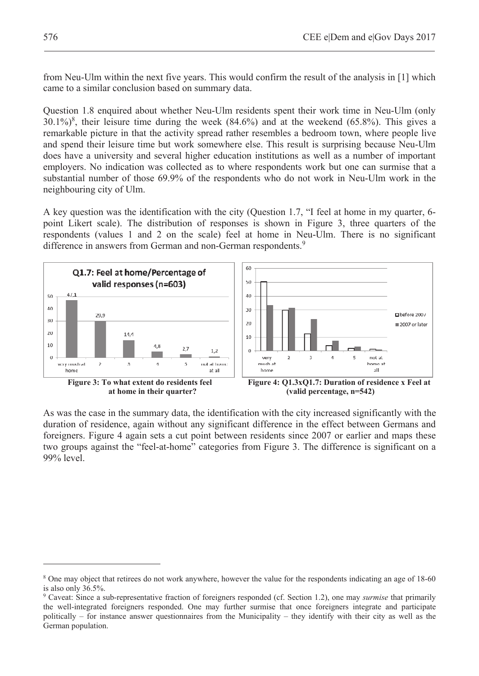from Neu-Ulm within the next five years. This would confirm the result of the analysis in [1] which came to a similar conclusion based on summary data.

Question 1.8 enquired about whether Neu-Ulm residents spent their work time in Neu-Ulm (only  $30.1\%$ <sup>8</sup>, their leisure time during the week (84.6%) and at the weekend (65.8%). This gives a remarkable picture in that the activity spread rather resembles a bedroom town, where people live and spend their leisure time but work somewhere else. This result is surprising because Neu-Ulm does have a university and several higher education institutions as well as a number of important employers. No indication was collected as to where respondents work but one can surmise that a substantial number of those 69.9% of the respondents who do not work in Neu-Ulm work in the neighbouring city of Ulm.

A key question was the identification with the city (Question 1.7, "I feel at home in my quarter, 6 point Likert scale). The distribution of responses is shown in Figure 3, three quarters of the respondents (values 1 and 2 on the scale) feel at home in Neu-Ulm. There is no significant difference in answers from German and non-German respondents.<sup>9</sup>



As was the case in the summary data, the identification with the city increased significantly with the duration of residence, again without any significant difference in the effect between Germans and foreigners. Figure 4 again sets a cut point between residents since 2007 or earlier and maps these two groups against the "feel-at-home" categories from Figure 3. The difference is significant on a 99% level.

 $\overline{a}$ 

<sup>8</sup> One may object that retirees do not work anywhere, however the value for the respondents indicating an age of 18-60 is also only 36.5%.

<sup>9</sup> Caveat: Since a sub-representative fraction of foreigners responded (cf. Section 1.2), one may *surmise* that primarily the well-integrated foreigners responded. One may further surmise that once foreigners integrate and participate politically – for instance answer questionnaires from the Municipality – they identify with their city as well as the German population.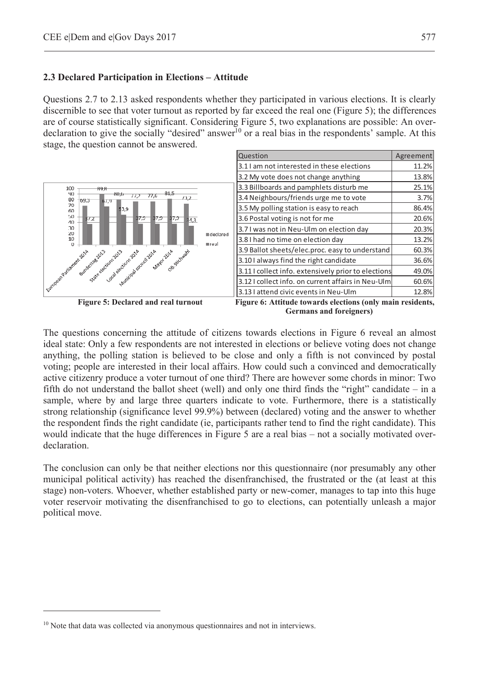#### **2.3 Declared Participation in Elections – Attitude**

Questions 2.7 to 2.13 asked respondents whether they participated in various elections. It is clearly discernible to see that voter turnout as reported by far exceed the real one (Figure 5); the differences are of course statistically significant. Considering Figure 5, two explanations are possible: An overdeclaration to give the socially "desired" answer<sup>10</sup> or a real bias in the respondents' sample. At this stage, the question cannot be answered.



 **Germans and foreigners)**

The questions concerning the attitude of citizens towards elections in Figure 6 reveal an almost ideal state: Only a few respondents are not interested in elections or believe voting does not change anything, the polling station is believed to be close and only a fifth is not convinced by postal voting; people are interested in their local affairs. How could such a convinced and democratically active citizenry produce a voter turnout of one third? There are however some chords in minor: Two fifth do not understand the ballot sheet (well) and only one third finds the "right" candidate – in a sample, where by and large three quarters indicate to vote. Furthermore, there is a statistically strong relationship (significance level 99.9%) between (declared) voting and the answer to whether the respondent finds the right candidate (ie, participants rather tend to find the right candidate). This would indicate that the huge differences in Figure 5 are a real bias – not a socially motivated overdeclaration.

The conclusion can only be that neither elections nor this questionnaire (nor presumably any other municipal political activity) has reached the disenfranchised, the frustrated or the (at least at this stage) non-voters. Whoever, whether established party or new-comer, manages to tap into this huge voter reservoir motivating the disenfranchised to go to elections, can potentially unleash a major political move.

 $\overline{a}$ 

<sup>&</sup>lt;sup>10</sup> Note that data was collected via anonymous questionnaires and not in interviews.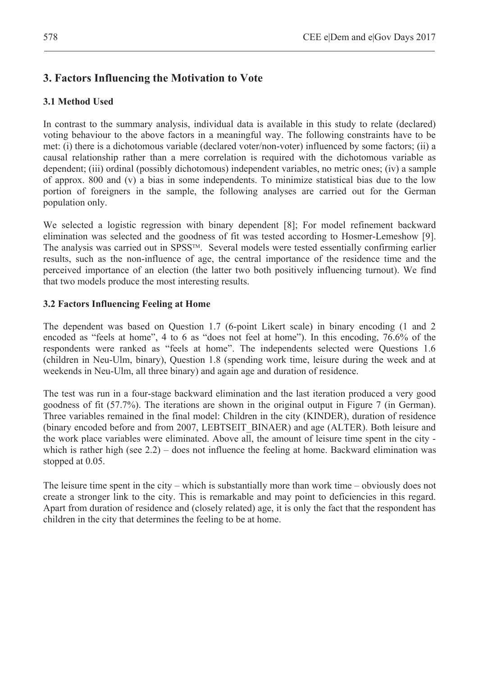# **3. Factors Influencing the Motivation to Vote**

## **3.1 Method Used**

In contrast to the summary analysis, individual data is available in this study to relate (declared) voting behaviour to the above factors in a meaningful way. The following constraints have to be met: (i) there is a dichotomous variable (declared voter/non-voter) influenced by some factors; (ii) a causal relationship rather than a mere correlation is required with the dichotomous variable as dependent; (iii) ordinal (possibly dichotomous) independent variables, no metric ones; (iv) a sample of approx. 800 and (v) a bias in some independents. To minimize statistical bias due to the low portion of foreigners in the sample, the following analyses are carried out for the German population only.

We selected a logistic regression with binary dependent [8]; For model refinement backward elimination was selected and the goodness of fit was tested according to Hosmer-Lemeshow [9]. The analysis was carried out in SPSS<sup>TM</sup>. Several models were tested essentially confirming earlier results, such as the non-influence of age, the central importance of the residence time and the perceived importance of an election (the latter two both positively influencing turnout). We find that two models produce the most interesting results.

### **3.2 Factors Influencing Feeling at Home**

The dependent was based on Question 1.7 (6-point Likert scale) in binary encoding (1 and 2 encoded as "feels at home", 4 to 6 as "does not feel at home"). In this encoding, 76.6% of the respondents were ranked as "feels at home". The independents selected were Questions 1.6 (children in Neu-Ulm, binary), Question 1.8 (spending work time, leisure during the week and at weekends in Neu-Ulm, all three binary) and again age and duration of residence.

The test was run in a four-stage backward elimination and the last iteration produced a very good goodness of fit (57.7%). The iterations are shown in the original output in Figure 7 (in German). Three variables remained in the final model: Children in the city (KINDER), duration of residence (binary encoded before and from 2007, LEBTSEIT\_BINAER) and age (ALTER). Both leisure and the work place variables were eliminated. Above all, the amount of leisure time spent in the city which is rather high (see 2.2) – does not influence the feeling at home. Backward elimination was stopped at 0.05.

The leisure time spent in the city – which is substantially more than work time – obviously does not create a stronger link to the city. This is remarkable and may point to deficiencies in this regard. Apart from duration of residence and (closely related) age, it is only the fact that the respondent has children in the city that determines the feeling to be at home.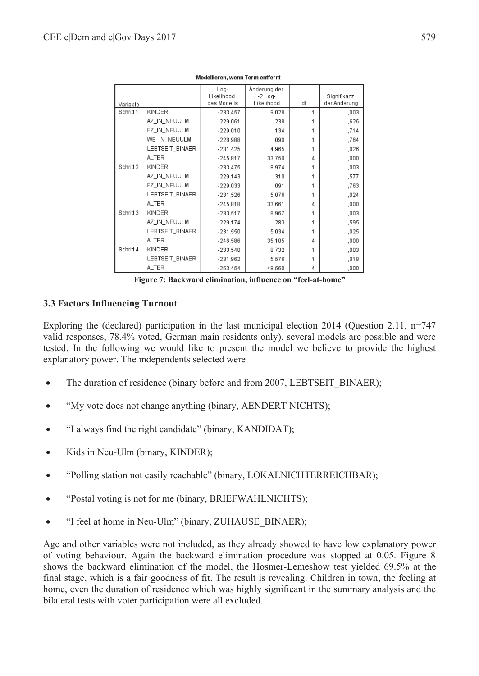| Variable  |                 | Log-<br>Likelihood<br>des Modells | Änderung der<br>$-2$ Log-<br>Likelihood | df | Signifikanz<br>der Änderung |
|-----------|-----------------|-----------------------------------|-----------------------------------------|----|-----------------------------|
| Schritt 1 | KINDER          | $-233,457$                        | 9,028                                   | 1  | ,003                        |
|           | AZ_IN_NEUULM    | $-229,061$                        | ,238                                    |    | ,626                        |
|           | FZ_IN_NEUULM    | $-229,010$                        | .134                                    |    | ,714                        |
|           | WE_IN_NEUULM    | $-228,988$                        | ,090                                    |    | ,764                        |
|           | LEBTSEIT_BINAER | $-231,425$                        | 4.965                                   |    | ,026                        |
|           | <b>ALTER</b>    | $-245,817$                        | 33,750                                  | 4  | ,000                        |
| Schritt 2 | KINDER          | $-233,475$                        | 8.974                                   |    | ,003                        |
|           | AZ_IN_NEUULM    | $-229.143$                        | ,310                                    |    | ,577                        |
|           | FZ_IN_NEUULM    | $-229,033$                        | ,091                                    |    | ,763                        |
|           | LEBTSEIT_BINAER | $-231.526$                        | 5.076                                   |    | ,024                        |
|           | <b>ALTER</b>    | $-245,818$                        | 33,661                                  | 4  | ,000                        |
| Schritt 3 | KINDER          | $-233,517$                        | 8.967                                   |    | ,003                        |
|           | AZ_IN_NEUULM    | $-229,174$                        | ,283                                    |    | ,595                        |
|           | LEBTSEIT_BINAER | $-231,550$                        | 5,034                                   |    | ,025                        |
|           | <b>ALTER</b>    | $-246,586$                        | 35,105                                  | 4  | ,000                        |
| Schritt 4 | KINDER          | $-233,540$                        | 8,732                                   |    | ,003                        |
|           | LEBTSEIT_BINAER | $-231,962$                        | 5,576                                   |    | ,018                        |
|           | <b>ALTER</b>    | $-253.454$                        | 48.560                                  | 4  | .000                        |

Modellieren, wenn Term entfernt

**Figure 7: Backward elimination, influence on "feel-at-home"**

#### **3.3 Factors Influencing Turnout**

Exploring the (declared) participation in the last municipal election 2014 (Question 2.11, n=747 valid responses, 78.4% voted, German main residents only), several models are possible and were tested. In the following we would like to present the model we believe to provide the highest explanatory power. The independents selected were

- The duration of residence (binary before and from 2007, LEBTSEIT BINAER);
- "My vote does not change anything (binary, AENDERT NICHTS);
- "I always find the right candidate" (binary, KANDIDAT);
- Kids in Neu-Ulm (binary, KINDER);
- "Polling station not easily reachable" (binary, LOKALNICHTERREICHBAR);
- "Postal voting is not for me (binary, BRIEFWAHLNICHTS);
- "I feel at home in Neu-Ulm" (binary, ZUHAUSE\_BINAER);

Age and other variables were not included, as they already showed to have low explanatory power of voting behaviour. Again the backward elimination procedure was stopped at 0.05. Figure 8 shows the backward elimination of the model, the Hosmer-Lemeshow test yielded 69.5% at the final stage, which is a fair goodness of fit. The result is revealing. Children in town, the feeling at home, even the duration of residence which was highly significant in the summary analysis and the bilateral tests with voter participation were all excluded.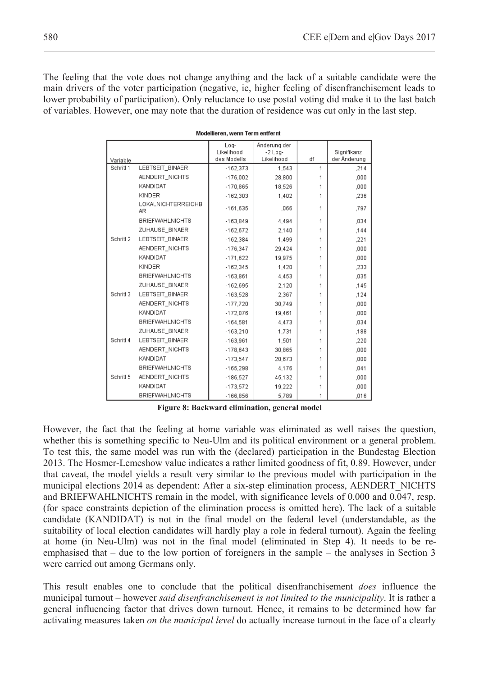The feeling that the vote does not change anything and the lack of a suitable candidate were the main drivers of the voter participation (negative, ie, higher feeling of disenfranchisement leads to lower probability of participation). Only reluctance to use postal voting did make it to the last batch of variables. However, one may note that the duration of residence was cut only in the last step.

|           |                                 | Änderung der<br>Log-<br>Likelihood<br>$-2$ Log- |            |    | Signifikanz  |  |
|-----------|---------------------------------|-------------------------------------------------|------------|----|--------------|--|
| Variable  |                                 | des Modells                                     | Likelihood | df | der Änderung |  |
| Schritt 1 | LEBTSEIT BINAER                 | $-162,373$                                      | 1.543      | 1  | ,214         |  |
|           | AENDERT_NICHTS                  | $-176.002$                                      | 28,800     | 1  | .000         |  |
|           | KANDIDAT                        | $-170,865$                                      | 18,526     | 1  | ,000         |  |
|           | KINDER                          | $-162,303$                                      | 1,402      | 1  | ,236         |  |
|           | <b>LOKALNICHTERREICHB</b><br>AR | $-161,635$                                      | .066       | 1  | .797         |  |
|           | <b>BRIEFWAHLNICHTS</b>          | $-163,849$                                      | 4.494      | 1  | ,034         |  |
|           | ZUHAUSE BINAER                  | $-162.672$                                      | 2.140      | 1  | .144         |  |
| Schritt 2 | LEBTSEIT_BINAER                 | $-162,384$                                      | 1,499      | 1  | .221         |  |
|           | AENDERT_NICHTS                  | $-176.347$                                      | 29.424     | 1  | .000         |  |
|           | KANDIDAT                        | $-171,622$                                      | 19,975     | 1  | ,000         |  |
|           | KINDER                          | $-162,345$                                      | 1,420      | 1  | ,233         |  |
|           | <b>BRIEFWAHLNICHTS</b>          | $-163.861$                                      | 4.453      | 1  | .035         |  |
|           | ZUHAUSE BINAER                  | $-162,695$                                      | 2,120      | 1  | ,145         |  |
| Schritt 3 | LEBTSEIT BINAER                 | $-163,528$                                      | 2,367      | 1  | .124         |  |
|           | AENDERT_NICHTS                  | $-177.720$                                      | 30.749     | 1  | ,000         |  |
|           | KANDIDAT                        | $-172,076$                                      | 19.461     | 1  | ,000         |  |
|           | <b>BRIEFWAHLNICHTS</b>          | $-164,581$                                      | 4.473      | 1  | ,034         |  |
|           | ZUHAUSE_BINAER                  | $-163.210$                                      | 1.731      | 1  | ,188         |  |
| Schritt 4 | LEBTSEIT BINAER                 | $-163.961$                                      | 1.501      | 1  | ,220         |  |
|           | AENDERT NICHTS                  | $-178,643$                                      | 30,865     | 1  | ,000         |  |
|           | KANDIDAT                        | $-173.547$                                      | 20.673     | 1  | ,000         |  |
|           | <b>BRIEFWAHLNICHTS</b>          | $-165,298$                                      | 4.176      | 1  | .041         |  |
| Schritt 5 | AENDERT NICHTS                  | $-186,527$                                      | 45,132     | 1  | ,000         |  |
|           | KANDIDAT                        | $-173.572$                                      | 19.222     | 1  | .000         |  |
|           | <b>BRIEFWAHLNICHTS</b>          | $-166,856$                                      | 5.789      | 1  | ,016         |  |

Modellieren, wenn Term entfernt

**Figure 8: Backward elimination, general model** 

However, the fact that the feeling at home variable was eliminated as well raises the question, whether this is something specific to Neu-Ulm and its political environment or a general problem. To test this, the same model was run with the (declared) participation in the Bundestag Election 2013. The Hosmer-Lemeshow value indicates a rather limited goodness of fit, 0.89. However, under that caveat, the model yields a result very similar to the previous model with participation in the municipal elections 2014 as dependent: After a six-step elimination process, AENDERT\_NICHTS and BRIEFWAHLNICHTS remain in the model, with significance levels of 0.000 and 0.047, resp. (for space constraints depiction of the elimination process is omitted here). The lack of a suitable candidate (KANDIDAT) is not in the final model on the federal level (understandable, as the suitability of local election candidates will hardly play a role in federal turnout). Again the feeling at home (in Neu-Ulm) was not in the final model (eliminated in Step 4). It needs to be reemphasised that – due to the low portion of foreigners in the sample – the analyses in Section 3 were carried out among Germans only.

This result enables one to conclude that the political disenfranchisement *does* influence the municipal turnout – however *said disenfranchisement is not limited to the municipality*. It is rather a general influencing factor that drives down turnout. Hence, it remains to be determined how far activating measures taken *on the municipal level* do actually increase turnout in the face of a clearly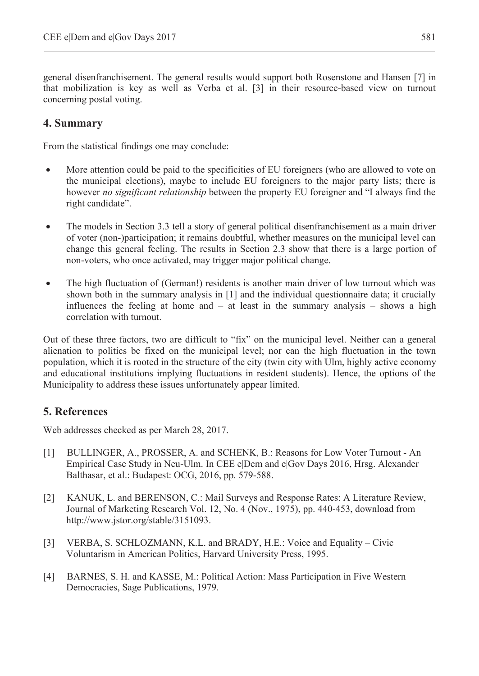general disenfranchisement. The general results would support both Rosenstone and Hansen [7] in that mobilization is key as well as Verba et al. [3] in their resource-based view on turnout concerning postal voting.

# **4. Summary**

From the statistical findings one may conclude:

- More attention could be paid to the specificities of EU foreigners (who are allowed to vote on the municipal elections), maybe to include EU foreigners to the major party lists; there is however *no significant relationship* between the property EU foreigner and "I always find the right candidate".
- The models in Section 3.3 tell a story of general political disenfranchisement as a main driver of voter (non-)participation; it remains doubtful, whether measures on the municipal level can change this general feeling. The results in Section 2.3 show that there is a large portion of non-voters, who once activated, may trigger major political change.
- The high fluctuation of (German!) residents is another main driver of low turnout which was shown both in the summary analysis in [1] and the individual questionnaire data; it crucially influences the feeling at home and – at least in the summary analysis – shows a high correlation with turnout.

Out of these three factors, two are difficult to "fix" on the municipal level. Neither can a general alienation to politics be fixed on the municipal level; nor can the high fluctuation in the town population, which it is rooted in the structure of the city (twin city with Ulm, highly active economy and educational institutions implying fluctuations in resident students). Hence, the options of the Municipality to address these issues unfortunately appear limited.

# **5. References**

Web addresses checked as per March 28, 2017.

- [1] BULLINGER, A., PROSSER, A. and SCHENK, B.: Reasons for Low Voter Turnout An Empirical Case Study in Neu-Ulm. In CEE e|Dem and e|Gov Days 2016, Hrsg. Alexander Balthasar, et al.: Budapest: OCG, 2016, pp. 579-588.
- [2] KANUK, L. and BERENSON, C.: Mail Surveys and Response Rates: A Literature Review, Journal of Marketing Research Vol. 12, No. 4 (Nov., 1975), pp. 440-453, download from http://www.jstor.org/stable/3151093.
- [3] VERBA, S. SCHLOZMANN, K.L. and BRADY, H.E.: Voice and Equality Civic Voluntarism in American Politics, Harvard University Press, 1995.
- [4] BARNES, S. H. and KASSE, M.: Political Action: Mass Participation in Five Western Democracies, Sage Publications, 1979.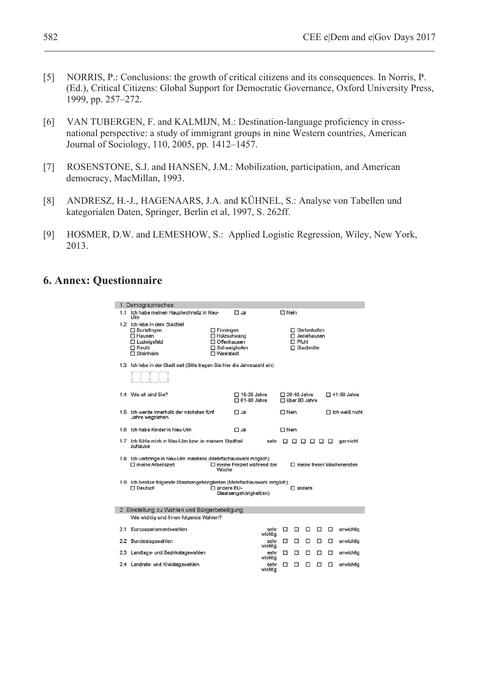- [5] NORRIS, P.: Conclusions: the growth of critical citizens and its consequences. In Norris, P. (Ed.), Critical Citizens: Global Support for Democratic Governance, Oxford University Press, 1999, pp. 257–272.
- [6] VAN TUBERGEN, F. and KALMIJN, M.: Destination-language proficiency in crossnational perspective: a study of immigrant groups in nine Western countries, American Journal of Sociology, 110, 2005, pp. 1412–1457.
- [7] ROSENSTONE, S.J. and HANSEN, J.M.: Mobilization, participation, and American democracy, MacMillan, 1993.
- [8] ANDRESZ, H.-J., HAGENAARS, J.A. and KÜHNEL, S.: Analyse von Tabellen und kategorialen Daten, Springer, Berlin et al, 1997, S. 262ff.
- [9] HOSMER, D.W. and LEMESHOW, S.: Applied Logistic Regression, Wiley, New York, 2013.

# **6. Annex: Questionnaire**

|                                                | 1. Demographisches                                                                         |                                    |                         |                 |                                     |                    |   |   |                       |                    |  |
|------------------------------------------------|--------------------------------------------------------------------------------------------|------------------------------------|-------------------------|-----------------|-------------------------------------|--------------------|---|---|-----------------------|--------------------|--|
| 1.1                                            | Ich habe meinen Hauptwohnsitz in Neu-<br>$\Box$ Ja<br>Ulm                                  |                                    |                         |                 | $\Box$ Nein                         |                    |   |   |                       |                    |  |
|                                                | 1.2 Ich lebe in dem Stadtteil<br>$\square$ Burlafingen<br>□ Hausen                         | $\Box$ Finningen<br>□ Holzschwang  |                         |                 | $\Box$ Gerlenhofen<br>□ Jedelhausen |                    |   |   |                       |                    |  |
|                                                | □ Ludwigsfeld                                                                              | Offenhausen                        |                         |                 | $\Box$ Pfuhl                        |                    |   |   |                       |                    |  |
|                                                | $\Box$ Reutti<br>$\Box$ Steinheim                                                          | $\Box$ Schwaighofen<br>□ Weststadt |                         |                 | $\Box$ Stadtmitte                   |                    |   |   |                       |                    |  |
|                                                |                                                                                            |                                    |                         |                 |                                     |                    |   |   |                       |                    |  |
|                                                | 1.3 Ich lebe in der Stadt seit (Bitte tragen Sie hier die Jahreszahl ein)                  |                                    |                         |                 |                                     |                    |   |   |                       |                    |  |
|                                                | 1.4 Wie alt sind Sie?                                                                      |                                    | $\Box$ 18-25 Jahre      |                 |                                     | $\Box$ 26-40 Jahre |   |   |                       | $\Box$ 41-60 Jahre |  |
|                                                |                                                                                            |                                    | $\Box$ 61-80 Jahre      |                 |                                     | □ über 80 Jahre    |   |   |                       |                    |  |
| 1.5                                            | Ich werde innerhalb der nächsten fünf<br>Jahre wegziehen                                   |                                    | $\Box$ Ja               |                 | $\sqcap$ Nein                       |                    |   |   | $\Box$ Ich weiß nicht |                    |  |
|                                                | 1.6 Ich habe Kinder in Neu-Ulm                                                             |                                    | $\Box$ Ja               |                 | $\Box$ Nein                         |                    |   |   |                       |                    |  |
|                                                | 1.7 Ich fühle mich in Neu-Ulm bzw. in meinem Stadtteil<br>sehr<br>-------<br>zuhause       |                                    |                         |                 |                                     | gar nicht          |   |   |                       |                    |  |
|                                                | 1.8 Ich verbringe in Neu-Ulm meistens (Mehrfachauswahl möglich)                            |                                    |                         |                 |                                     |                    |   |   |                       |                    |  |
|                                                | □ meine Arbeitszeit<br>□ meine Freizeit während der<br>□ meine freien Wochenenden<br>Woche |                                    |                         |                 |                                     |                    |   |   |                       |                    |  |
|                                                | 1.9 Ich besitze folgende Staatsangehörigkeiten (Mehrfachauswahl möglich)                   |                                    |                         |                 |                                     |                    |   |   |                       |                    |  |
|                                                | □ Deutsch                                                                                  | □ andere EU-                       | Staatsangehörigkeit(en) |                 |                                     | $\Box$ andere      |   |   |                       |                    |  |
|                                                |                                                                                            |                                    |                         |                 |                                     |                    |   |   |                       |                    |  |
| 2. Einstellung zu Wahlen und Bürgerbeteiligung |                                                                                            |                                    |                         |                 |                                     |                    |   |   |                       |                    |  |
|                                                | Wie wichtig sind Ihnen folgende Wahlen?                                                    |                                    |                         |                 |                                     |                    |   |   |                       |                    |  |
| 2.1                                            | Europaparlamentswahlen                                                                     |                                    |                         | sehr<br>wichtig | □                                   | □                  | □ | □ | □                     | unwichtig          |  |
| 2.2                                            | Bundestagswahlen                                                                           |                                    |                         | sehr<br>wichtig | □                                   | □                  | □ | □ | □                     | unwichtia          |  |
| 2.3                                            | Landtags- und Bezirkstagswahlen                                                            |                                    |                         | sehr<br>wichtig | □                                   | □                  | □ | п | □                     | unwichtig          |  |
|                                                | 2.4 Landrats- und Kreistagswahlen                                                          |                                    |                         | sehr<br>wichtig | п                                   | п                  | п | п | п                     | unwichtig          |  |
|                                                |                                                                                            |                                    |                         |                 |                                     |                    |   |   |                       |                    |  |